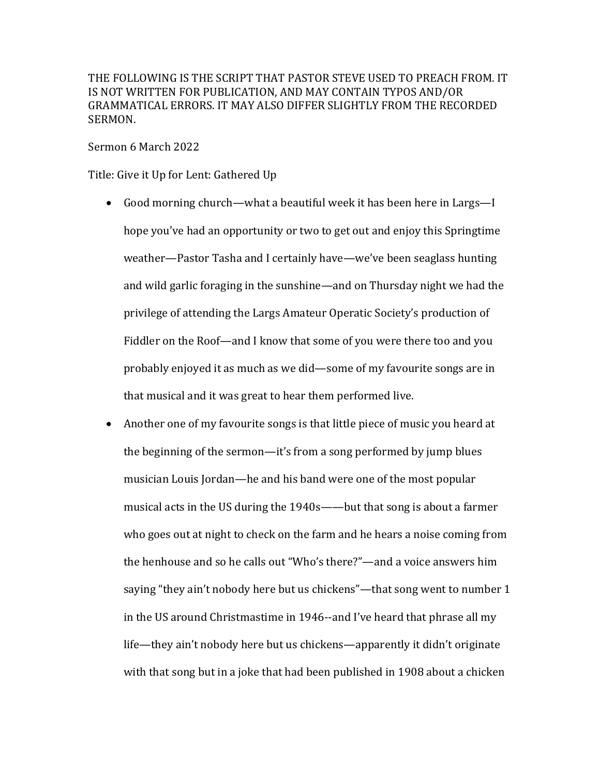THE FOLLOWING IS THE SCRIPT THAT PASTOR STEVE USED TO PREACH FROM. IT IS NOT WRITTEN FOR PUBLICATION, AND MAY CONTAIN TYPOS AND/OR GRAMMATICAL ERRORS. IT MAY ALSO DIFFER SLIGHTLY FROM THE RECORDED SERMON.

Sermon 6 March 2022

Title: Give it Up for Lent: Gathered Up

- Good morning church—what a beautiful week it has been here in Largs—I hope you've had an opportunity or two to get out and enjoy this Springtime weather—Pastor Tasha and I certainly have—we've been seaglass hunting and wild garlic foraging in the sunshine—and on Thursday night we had the privilege of attending the Largs Amateur Operatic Society's production of Fiddler on the Roof—and I know that some of you were there too and you probably enjoyed it as much as we did—some of my favourite songs are in that musical and it was great to hear them performed live.
- Another one of my favourite songs is that little piece of music you heard at the beginning of the sermon—it's from a song performed by jump blues musician Louis Jordan—he and his band were one of the most popular musical acts in the US during the 1940s——but that song is about a farmer who goes out at night to check on the farm and he hears a noise coming from the henhouse and so he calls out "Who's there?"—and a voice answers him saying "they ain't nobody here but us chickens"—that song went to number 1 in the US around Christmastime in 1946--and I've heard that phrase all my life—they ain't nobody here but us chickens—apparently it didn't originate with that song but in a joke that had been published in 1908 about a chicken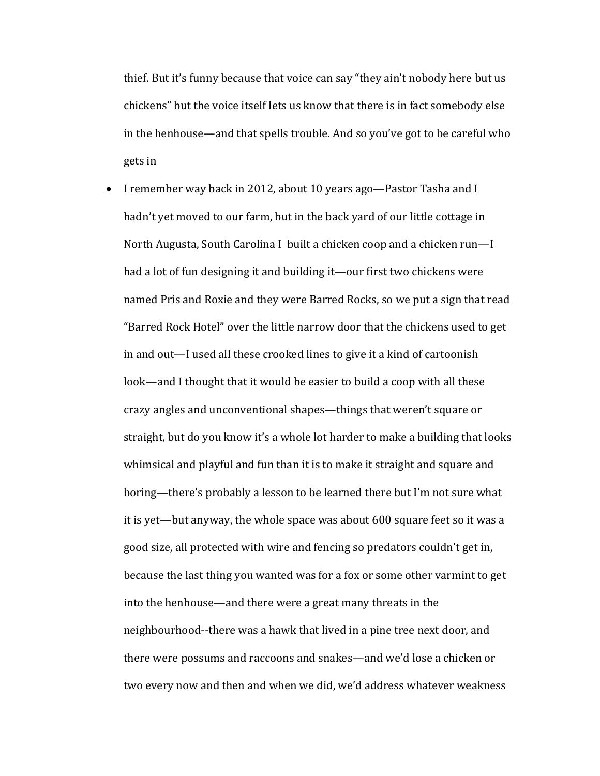thief. But it's funny because that voice can say "they ain't nobody here but us chickens" but the voice itself lets us know that there is in fact somebody else in the henhouse—and that spells trouble. And so you've got to be careful who gets in

I remember way back in 2012, about 10 years ago—Pastor Tasha and I hadn't yet moved to our farm, but in the back yard of our little cottage in North Augusta, South Carolina I built a chicken coop and a chicken run—I had a lot of fun designing it and building it—our first two chickens were named Pris and Roxie and they were Barred Rocks, so we put a sign that read "Barred Rock Hotel" over the little narrow door that the chickens used to get in and out—I used all these crooked lines to give it a kind of cartoonish look—and I thought that it would be easier to build a coop with all these crazy angles and unconventional shapes—things that weren't square or straight, but do you know it's a whole lot harder to make a building that looks whimsical and playful and fun than it is to make it straight and square and boring—there's probably a lesson to be learned there but I'm not sure what it is yet—but anyway, the whole space was about 600 square feet so it was a good size, all protected with wire and fencing so predators couldn't get in, because the last thing you wanted was for a fox or some other varmint to get into the henhouse—and there were a great many threats in the neighbourhood--there was a hawk that lived in a pine tree next door, and there were possums and raccoons and snakes—and we'd lose a chicken or two every now and then and when we did, we'd address whatever weakness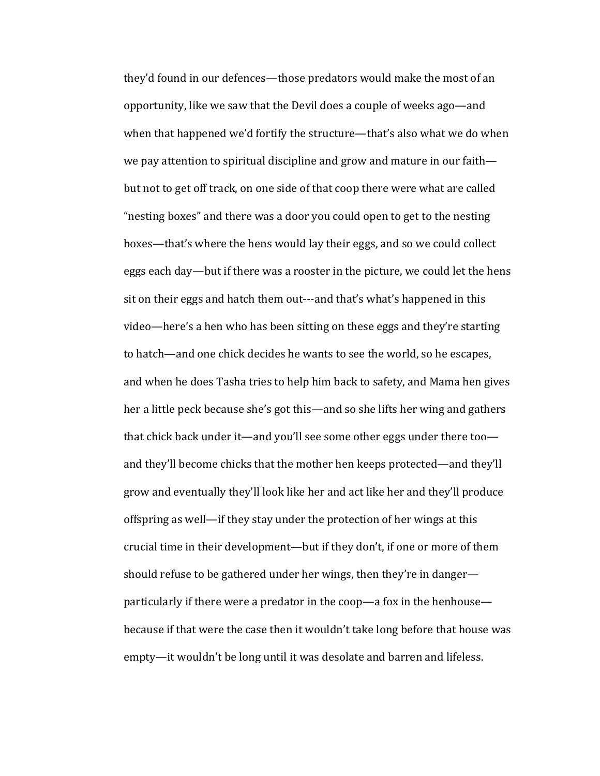they'd found in our defences—those predators would make the most of an opportunity, like we saw that the Devil does a couple of weeks ago—and when that happened we'd fortify the structure—that's also what we do when we pay attention to spiritual discipline and grow and mature in our faith but not to get off track, on one side of that coop there were what are called "nesting boxes" and there was a door you could open to get to the nesting boxes—that's where the hens would lay their eggs, and so we could collect eggs each day—but if there was a rooster in the picture, we could let the hens sit on their eggs and hatch them out---and that's what's happened in this video—here's a hen who has been sitting on these eggs and they're starting to hatch—and one chick decides he wants to see the world, so he escapes, and when he does Tasha tries to help him back to safety, and Mama hen gives her a little peck because she's got this—and so she lifts her wing and gathers that chick back under it—and you'll see some other eggs under there too and they'll become chicks that the mother hen keeps protected—and they'll grow and eventually they'll look like her and act like her and they'll produce offspring as well—if they stay under the protection of her wings at this crucial time in their development—but if they don't, if one or more of them should refuse to be gathered under her wings, then they're in danger particularly if there were a predator in the coop—a fox in the henhouse because if that were the case then it wouldn't take long before that house was empty—it wouldn't be long until it was desolate and barren and lifeless.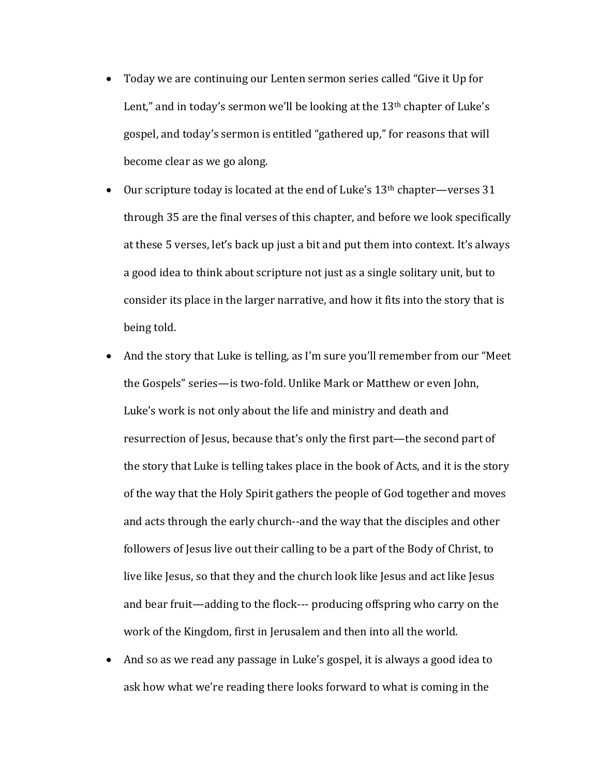- Today we are continuing our Lenten sermon series called "Give it Up for Lent," and in today's sermon we'll be looking at the  $13<sup>th</sup>$  chapter of Luke's gospel, and today's sermon is entitled "gathered up," for reasons that will become clear as we go along.
- Our scripture today is located at the end of Luke's  $13<sup>th</sup>$  chapter—verses  $31$ through 35 are the final verses of this chapter, and before we look specifically at these 5 verses, let's back up just a bit and put them into context. It's always a good idea to think about scripture not just as a single solitary unit, but to consider its place in the larger narrative, and how it fits into the story that is being told.
- And the story that Luke is telling, as I'm sure you'll remember from our "Meet" the Gospels" series—is two-fold. Unlike Mark or Matthew or even John, Luke's work is not only about the life and ministry and death and resurrection of Jesus, because that's only the first part—the second part of the story that Luke is telling takes place in the book of Acts, and it is the story of the way that the Holy Spirit gathers the people of God together and moves and acts through the early church--and the way that the disciples and other followers of Jesus live out their calling to be a part of the Body of Christ, to live like Jesus, so that they and the church look like Jesus and act like Jesus and bear fruit—adding to the flock--- producing offspring who carry on the work of the Kingdom, first in Jerusalem and then into all the world.
- And so as we read any passage in Luke's gospel, it is always a good idea to ask how what we're reading there looks forward to what is coming in the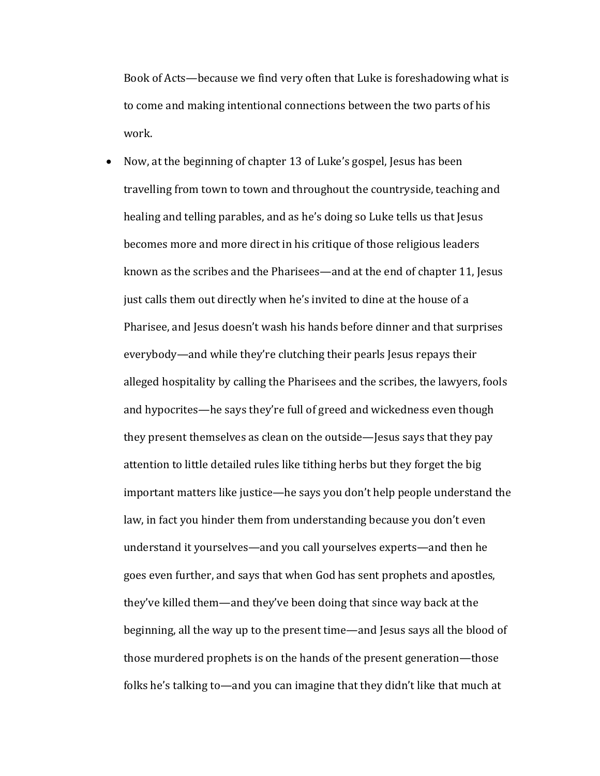Book of Acts—because we find very often that Luke is foreshadowing what is to come and making intentional connections between the two parts of his work.

• Now, at the beginning of chapter 13 of Luke's gospel, Jesus has been travelling from town to town and throughout the countryside, teaching and healing and telling parables, and as he's doing so Luke tells us that Jesus becomes more and more direct in his critique of those religious leaders known as the scribes and the Pharisees—and at the end of chapter 11, Jesus just calls them out directly when he's invited to dine at the house of a Pharisee, and Jesus doesn't wash his hands before dinner and that surprises everybody—and while they're clutching their pearls Jesus repays their alleged hospitality by calling the Pharisees and the scribes, the lawyers, fools and hypocrites—he says they're full of greed and wickedness even though they present themselves as clean on the outside—Jesus says that they pay attention to little detailed rules like tithing herbs but they forget the big important matters like justice—he says you don't help people understand the law, in fact you hinder them from understanding because you don't even understand it yourselves—and you call yourselves experts—and then he goes even further, and says that when God has sent prophets and apostles, they've killed them—and they've been doing that since way back at the beginning, all the way up to the present time—and Jesus says all the blood of those murdered prophets is on the hands of the present generation—those folks he's talking to—and you can imagine that they didn't like that much at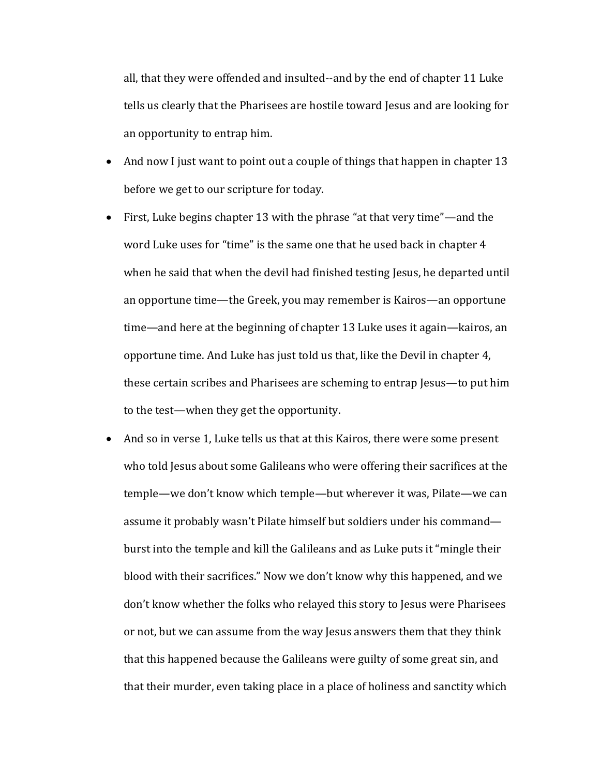all, that they were offended and insulted--and by the end of chapter 11 Luke tells us clearly that the Pharisees are hostile toward Jesus and are looking for an opportunity to entrap him.

- And now I just want to point out a couple of things that happen in chapter 13 before we get to our scripture for today.
- First, Luke begins chapter 13 with the phrase "at that very time"—and the word Luke uses for "time" is the same one that he used back in chapter 4 when he said that when the devil had finished testing Jesus, he departed until an opportune time—the Greek, you may remember is Kairos—an opportune time—and here at the beginning of chapter 13 Luke uses it again—kairos, an opportune time. And Luke has just told us that, like the Devil in chapter 4, these certain scribes and Pharisees are scheming to entrap Jesus—to put him to the test—when they get the opportunity.
- And so in verse 1, Luke tells us that at this Kairos, there were some present who told Jesus about some Galileans who were offering their sacrifices at the temple—we don't know which temple—but wherever it was, Pilate—we can assume it probably wasn't Pilate himself but soldiers under his command burst into the temple and kill the Galileans and as Luke puts it "mingle their blood with their sacrifices." Now we don't know why this happened, and we don't know whether the folks who relayed this story to Jesus were Pharisees or not, but we can assume from the way Jesus answers them that they think that this happened because the Galileans were guilty of some great sin, and that their murder, even taking place in a place of holiness and sanctity which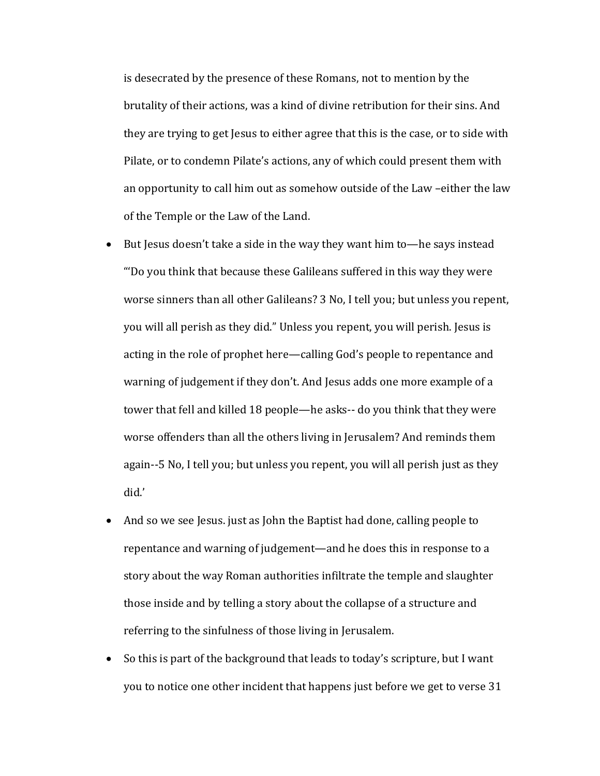is desecrated by the presence of these Romans, not to mention by the brutality of their actions, was a kind of divine retribution for their sins. And they are trying to get Jesus to either agree that this is the case, or to side with Pilate, or to condemn Pilate's actions, any of which could present them with an opportunity to call him out as somehow outside of the Law -either the law of the Temple or the Law of the Land.

- But Jesus doesn't take a side in the way they want him to—he says instead "'Do you think that because these Galileans suffered in this way they were worse sinners than all other Galileans? 3 No, I tell you; but unless you repent, you will all perish as they did." Unless you repent, you will perish. Jesus is acting in the role of prophet here—calling God's people to repentance and warning of judgement if they don't. And Jesus adds one more example of a tower that fell and killed 18 people—he asks-- do you think that they were worse offenders than all the others living in Jerusalem? And reminds them again--5 No, I tell you; but unless you repent, you will all perish just as they did.'
- And so we see Jesus. just as John the Baptist had done, calling people to repentance and warning of judgement—and he does this in response to a story about the way Roman authorities infiltrate the temple and slaughter those inside and by telling a story about the collapse of a structure and referring to the sinfulness of those living in Jerusalem.
- So this is part of the background that leads to today's scripture, but I want you to notice one other incident that happens just before we get to verse 31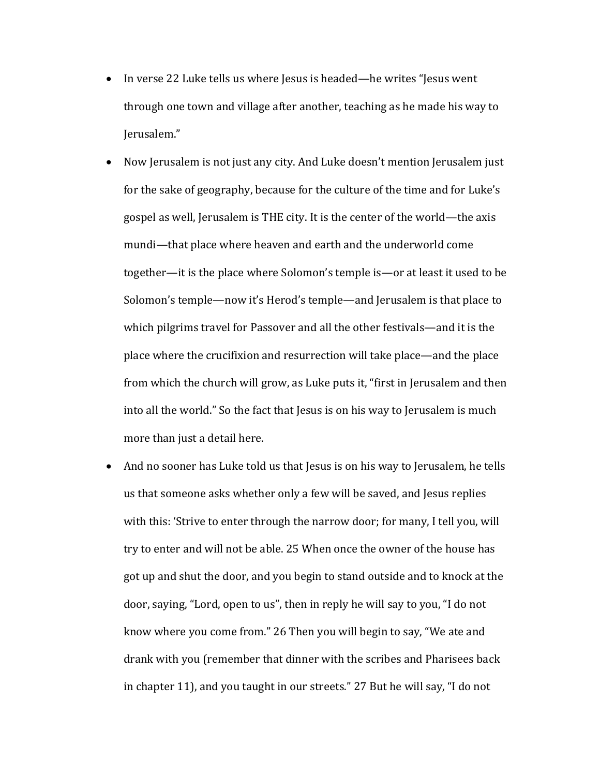- In verse 22 Luke tells us where Jesus is headed—he writes "Jesus went" through one town and village after another, teaching as he made his way to Jerusalem."
- Now Jerusalem is not just any city. And Luke doesn't mention Jerusalem just for the sake of geography, because for the culture of the time and for Luke's gospel as well, Jerusalem is THE city. It is the center of the world—the axis mundi—that place where heaven and earth and the underworld come together—it is the place where Solomon's temple is—or at least it used to be Solomon's temple—now it's Herod's temple—and Jerusalem is that place to which pilgrims travel for Passover and all the other festivals—and it is the place where the crucifixion and resurrection will take place—and the place from which the church will grow, as Luke puts it, "first in Jerusalem and then into all the world." So the fact that Jesus is on his way to Jerusalem is much more than just a detail here.
- And no sooner has Luke told us that Jesus is on his way to Jerusalem, he tells us that someone asks whether only a few will be saved, and Jesus replies with this: 'Strive to enter through the narrow door; for many, I tell you, will try to enter and will not be able. 25 When once the owner of the house has got up and shut the door, and you begin to stand outside and to knock at the door, saying, "Lord, open to us", then in reply he will say to you, "I do not know where you come from." 26 Then you will begin to say, "We ate and drank with you (remember that dinner with the scribes and Pharisees back in chapter 11), and you taught in our streets." 27 But he will say, "I do not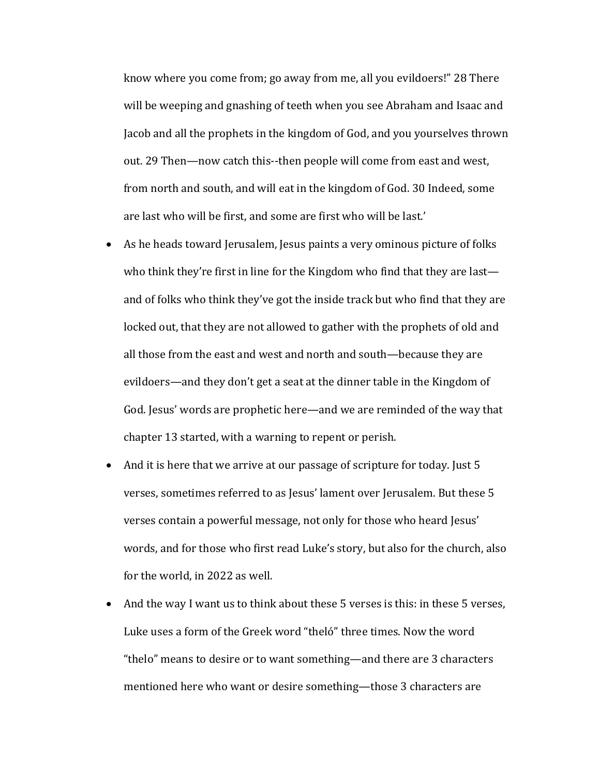know where you come from; go away from me, all you evildoers!" 28 There will be weeping and gnashing of teeth when you see Abraham and Isaac and Jacob and all the prophets in the kingdom of God, and you yourselves thrown out. 29 Then—now catch this--then people will come from east and west, from north and south, and will eat in the kingdom of God. 30 Indeed, some are last who will be first, and some are first who will be last.'

- As he heads toward Jerusalem, Jesus paints a very ominous picture of folks who think they're first in line for the Kingdom who find that they are last and of folks who think they've got the inside track but who find that they are locked out, that they are not allowed to gather with the prophets of old and all those from the east and west and north and south—because they are evildoers—and they don't get a seat at the dinner table in the Kingdom of God. Jesus' words are prophetic here—and we are reminded of the way that chapter 13 started, with a warning to repent or perish.
- And it is here that we arrive at our passage of scripture for today. Just 5 verses, sometimes referred to as Jesus' lament over Jerusalem. But these 5 verses contain a powerful message, not only for those who heard Jesus' words, and for those who first read Luke's story, but also for the church, also for the world, in 2022 as well.
- And the way I want us to think about these  $5$  verses is this: in these  $5$  verses, Luke uses a form of the Greek word "theló" three times. Now the word "thelo" means to desire or to want something—and there are 3 characters mentioned here who want or desire something—those 3 characters are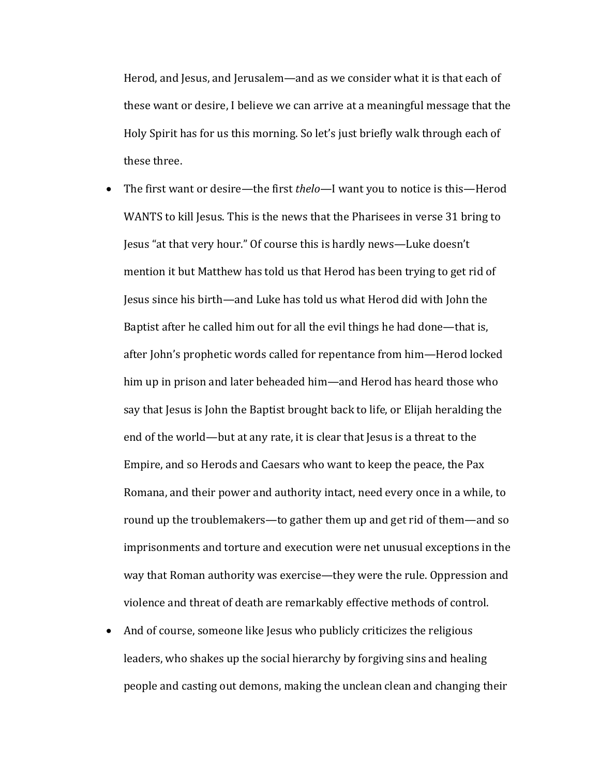Herod, and Jesus, and Jerusalem—and as we consider what it is that each of these want or desire, I believe we can arrive at a meaningful message that the Holy Spirit has for us this morning. So let's just briefly walk through each of these three.

- The first want or desire—the first *thelo*—I want you to notice is this—Herod WANTS to kill Jesus. This is the news that the Pharisees in verse 31 bring to Jesus "at that very hour." Of course this is hardly news—Luke doesn't mention it but Matthew has told us that Herod has been trying to get rid of Jesus since his birth—and Luke has told us what Herod did with John the Baptist after he called him out for all the evil things he had done—that is, after John's prophetic words called for repentance from him—Herod locked him up in prison and later beheaded him—and Herod has heard those who say that Jesus is John the Baptist brought back to life, or Elijah heralding the end of the world—but at any rate, it is clear that Jesus is a threat to the Empire, and so Herods and Caesars who want to keep the peace, the Pax Romana, and their power and authority intact, need every once in a while, to round up the troublemakers—to gather them up and get rid of them—and so imprisonments and torture and execution were net unusual exceptions in the way that Roman authority was exercise—they were the rule. Oppression and violence and threat of death are remarkably effective methods of control.
- And of course, someone like Jesus who publicly criticizes the religious leaders, who shakes up the social hierarchy by forgiving sins and healing people and casting out demons, making the unclean clean and changing their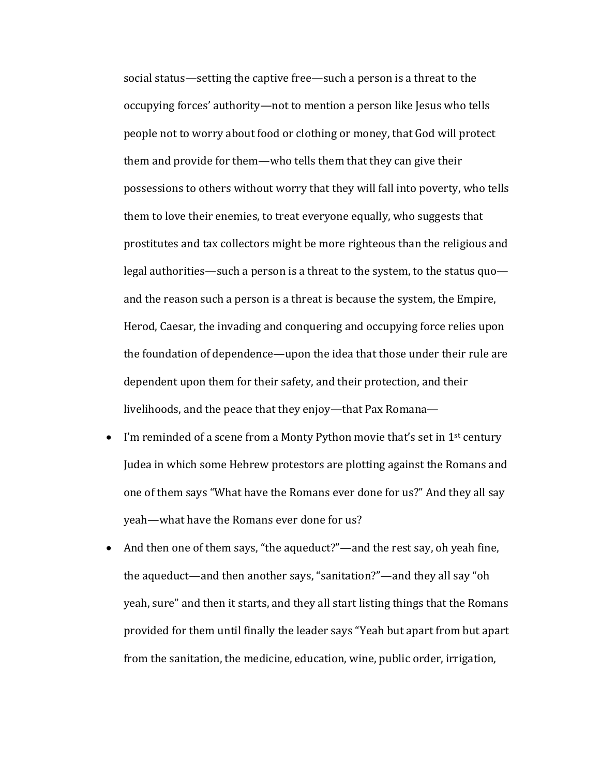social status—setting the captive free—such a person is a threat to the occupying forces' authority—not to mention a person like Jesus who tells people not to worry about food or clothing or money, that God will protect them and provide for them—who tells them that they can give their possessions to others without worry that they will fall into poverty, who tells them to love their enemies, to treat everyone equally, who suggests that prostitutes and tax collectors might be more righteous than the religious and legal authorities—such a person is a threat to the system, to the status  $quo$  and the reason such a person is a threat is because the system, the Empire, Herod, Caesar, the invading and conquering and occupying force relies upon the foundation of dependence—upon the idea that those under their rule are dependent upon them for their safety, and their protection, and their livelihoods, and the peace that they enjoy—that Pax Romana—

- I'm reminded of a scene from a Monty Python movie that's set in  $1^{st}$  century Judea in which some Hebrew protestors are plotting against the Romans and one of them says "What have the Romans ever done for us?" And they all say yeah—what have the Romans ever done for us?
- And then one of them says, "the aqueduct?"—and the rest say, oh yeah fine, the aqueduct—and then another says, "sanitation?"—and they all say "oh yeah, sure" and then it starts, and they all start listing things that the Romans provided for them until finally the leader says "Yeah but apart from but apart from the sanitation, the medicine, education, wine, public order, irrigation,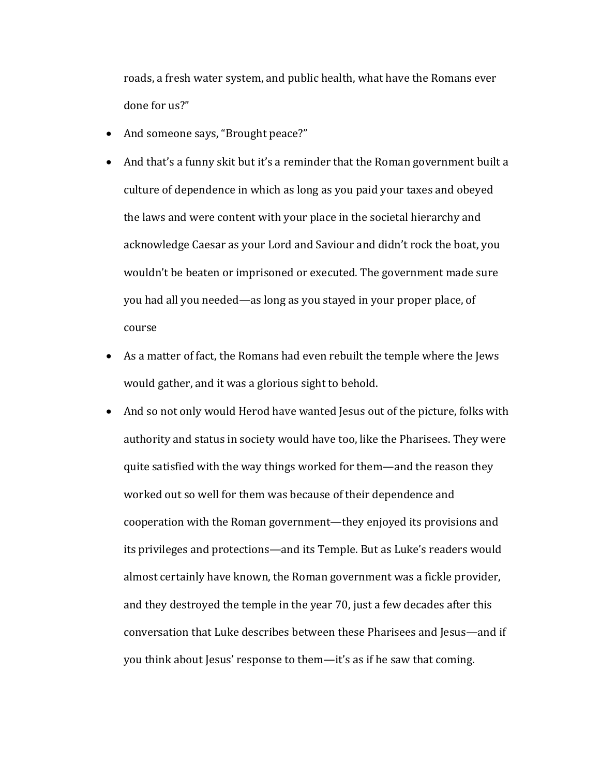roads, a fresh water system, and public health, what have the Romans ever done for us?"

- And someone says, "Brought peace?"
- And that's a funny skit but it's a reminder that the Roman government built a culture of dependence in which as long as you paid your taxes and obeyed the laws and were content with your place in the societal hierarchy and acknowledge Caesar as your Lord and Saviour and didn't rock the boat, you wouldn't be beaten or imprisoned or executed. The government made sure you had all you needed—as long as you stayed in your proper place, of course
- As a matter of fact, the Romans had even rebuilt the temple where the Jews would gather, and it was a glorious sight to behold.
- And so not only would Herod have wanted Jesus out of the picture, folks with authority and status in society would have too, like the Pharisees. They were quite satisfied with the way things worked for them—and the reason they worked out so well for them was because of their dependence and cooperation with the Roman government—they enjoyed its provisions and its privileges and protections—and its Temple. But as Luke's readers would almost certainly have known, the Roman government was a fickle provider, and they destroyed the temple in the year 70, just a few decades after this conversation that Luke describes between these Pharisees and Jesus—and if you think about Jesus' response to them—it's as if he saw that coming.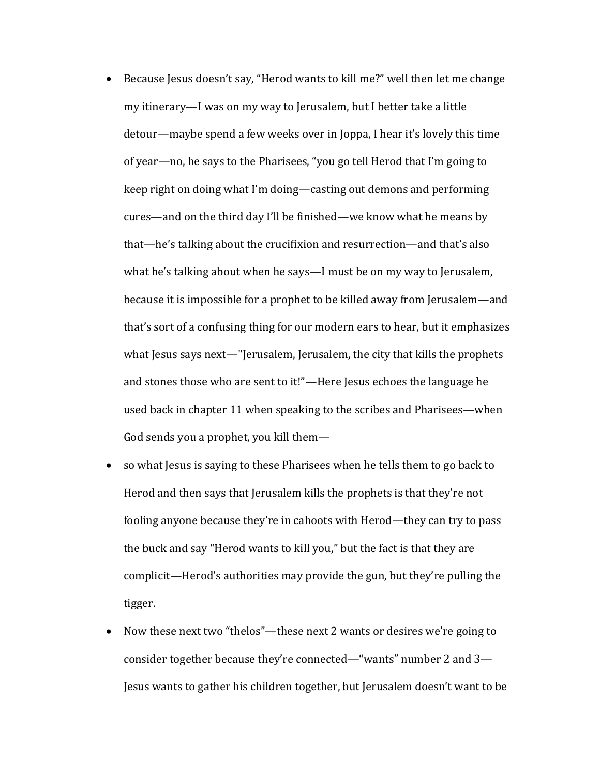- Because Jesus doesn't say, "Herod wants to kill me?" well then let me change my itinerary—I was on my way to Jerusalem, but I better take a little detour—maybe spend a few weeks over in Joppa, I hear it's lovely this time of year—no, he says to the Pharisees, "you go tell Herod that I'm going to keep right on doing what I'm doing—casting out demons and performing cures—and on the third day I'll be finished—we know what he means by that—he's talking about the crucifixion and resurrection—and that's also what he's talking about when he says—I must be on my way to Jerusalem, because it is impossible for a prophet to be killed away from Jerusalem—and that's sort of a confusing thing for our modern ears to hear, but it emphasizes what Jesus says next—"Jerusalem, Jerusalem, the city that kills the prophets and stones those who are sent to it!"—Here Jesus echoes the language he used back in chapter 11 when speaking to the scribes and Pharisees—when God sends you a prophet, you kill them—
- so what Jesus is saying to these Pharisees when he tells them to go back to Herod and then says that Jerusalem kills the prophets is that they're not fooling anyone because they're in cahoots with Herod—they can try to pass the buck and say "Herod wants to kill you," but the fact is that they are complicit—Herod's authorities may provide the gun, but they're pulling the tigger.
- Now these next two "thelos"—these next 2 wants or desires we're going to consider together because they're connected—"wants" number 2 and 3— Jesus wants to gather his children together, but Jerusalem doesn't want to be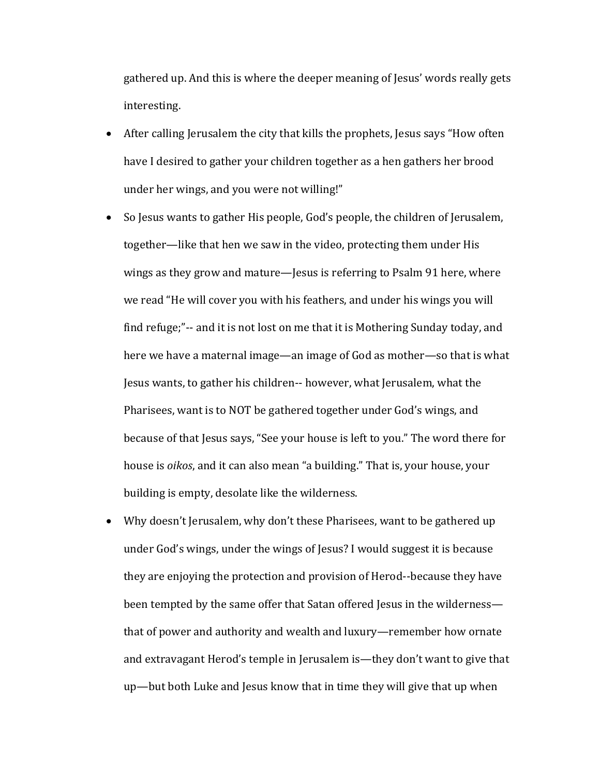gathered up. And this is where the deeper meaning of Jesus' words really gets interesting.

- After calling Jerusalem the city that kills the prophets, Jesus says "How often have I desired to gather your children together as a hen gathers her brood under her wings, and you were not willing!"
- So Jesus wants to gather His people, God's people, the children of Jerusalem, together—like that hen we saw in the video, protecting them under His wings as they grow and mature—Jesus is referring to Psalm 91 here, where we read "He will cover you with his feathers, and under his wings you will find refuge;"-- and it is not lost on me that it is Mothering Sunday today, and here we have a maternal image—an image of God as mother—so that is what Jesus wants, to gather his children-- however, what Jerusalem, what the Pharisees, want is to NOT be gathered together under God's wings, and because of that Jesus says, "See your house is left to you." The word there for house is *oikos*, and it can also mean "a building." That is, your house, your building is empty, desolate like the wilderness.
- Why doesn't Jerusalem, why don't these Pharisees, want to be gathered up under God's wings, under the wings of Jesus? I would suggest it is because they are enjoying the protection and provision of Herod--because they have been tempted by the same offer that Satan offered Jesus in the wilderness that of power and authority and wealth and luxury—remember how ornate and extravagant Herod's temple in Jerusalem is—they don't want to give that up—but both Luke and Jesus know that in time they will give that up when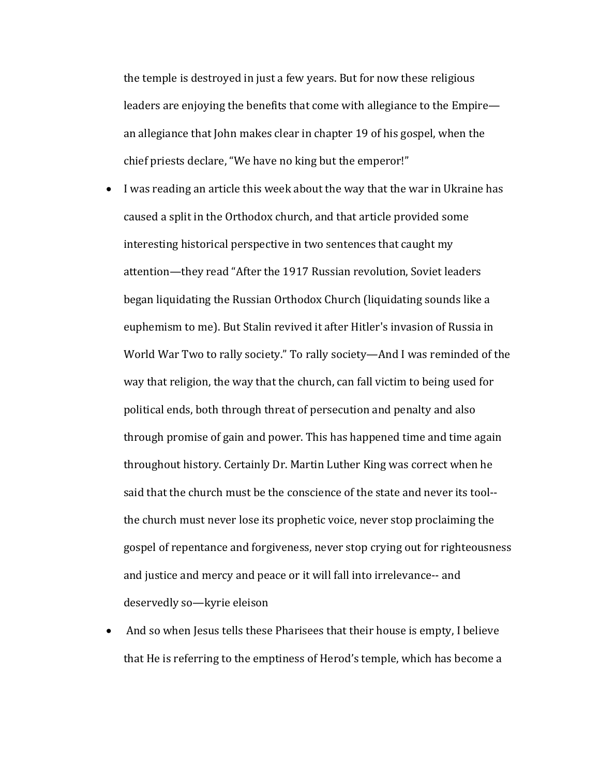the temple is destroyed in just a few years. But for now these religious leaders are enjoying the benefits that come with allegiance to the Empire an allegiance that John makes clear in chapter 19 of his gospel, when the chief priests declare, "We have no king but the emperor!"

- I was reading an article this week about the way that the war in Ukraine has caused a split in the Orthodox church, and that article provided some interesting historical perspective in two sentences that caught my attention—they read "After the 1917 Russian revolution, Soviet leaders began liquidating the Russian Orthodox Church (liquidating sounds like a euphemism to me). But Stalin revived it after Hitler's invasion of Russia in World War Two to rally society." To rally society—And I was reminded of the way that religion, the way that the church, can fall victim to being used for political ends, both through threat of persecution and penalty and also through promise of gain and power. This has happened time and time again throughout history. Certainly Dr. Martin Luther King was correct when he said that the church must be the conscience of the state and never its tool-the church must never lose its prophetic voice, never stop proclaiming the gospel of repentance and forgiveness, never stop crying out for righteousness and justice and mercy and peace or it will fall into irrelevance-- and deservedly so-kyrie eleison
- And so when Jesus tells these Pharisees that their house is empty, I believe that He is referring to the emptiness of Herod's temple, which has become a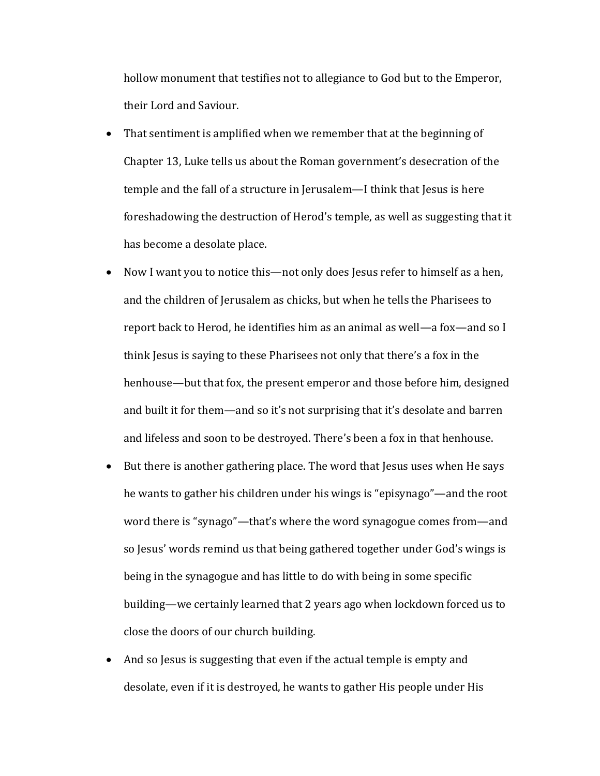hollow monument that testifies not to allegiance to God but to the Emperor, their Lord and Saviour.

- That sentiment is amplified when we remember that at the beginning of Chapter 13, Luke tells us about the Roman government's desecration of the temple and the fall of a structure in Jerusalem—I think that Jesus is here foreshadowing the destruction of Herod's temple, as well as suggesting that it has become a desolate place.
- Now I want you to notice this—not only does Jesus refer to himself as a hen, and the children of Jerusalem as chicks, but when he tells the Pharisees to report back to Herod, he identifies him as an animal as well—a fox—and so I think Jesus is saying to these Pharisees not only that there's a fox in the henhouse—but that fox, the present emperor and those before him, designed and built it for them—and so it's not surprising that it's desolate and barren and lifeless and soon to be destroyed. There's been a fox in that henhouse.
- But there is another gathering place. The word that Jesus uses when He says he wants to gather his children under his wings is "episynago"—and the root word there is "synago"—that's where the word synagogue comes from—and so Jesus' words remind us that being gathered together under God's wings is being in the synagogue and has little to do with being in some specific building—we certainly learned that 2 years ago when lockdown forced us to close the doors of our church building.
- And so Jesus is suggesting that even if the actual temple is empty and desolate, even if it is destroyed, he wants to gather His people under His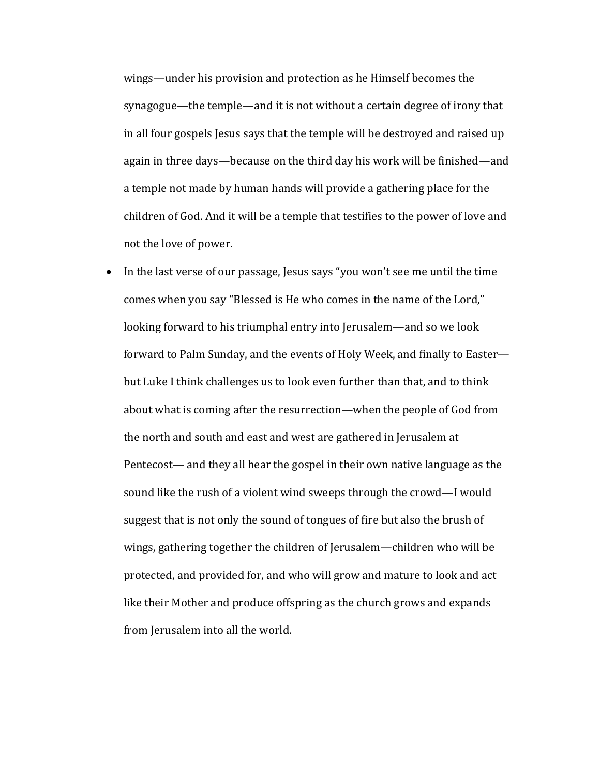wings—under his provision and protection as he Himself becomes the synagogue—the temple—and it is not without a certain degree of irony that in all four gospels Jesus says that the temple will be destroyed and raised up again in three days—because on the third day his work will be finished—and a temple not made by human hands will provide a gathering place for the children of God. And it will be a temple that testifies to the power of love and not the love of power.

• In the last verse of our passage, Jesus says "you won't see me until the time comes when you say "Blessed is He who comes in the name of the Lord," looking forward to his triumphal entry into Jerusalem—and so we look forward to Palm Sunday, and the events of Holy Week, and finally to Easter but Luke I think challenges us to look even further than that, and to think about what is coming after the resurrection—when the people of God from the north and south and east and west are gathered in Jerusalem at Pentecost— and they all hear the gospel in their own native language as the sound like the rush of a violent wind sweeps through the crowd—I would suggest that is not only the sound of tongues of fire but also the brush of wings, gathering together the children of Jerusalem—children who will be protected, and provided for, and who will grow and mature to look and act like their Mother and produce offspring as the church grows and expands from Jerusalem into all the world.